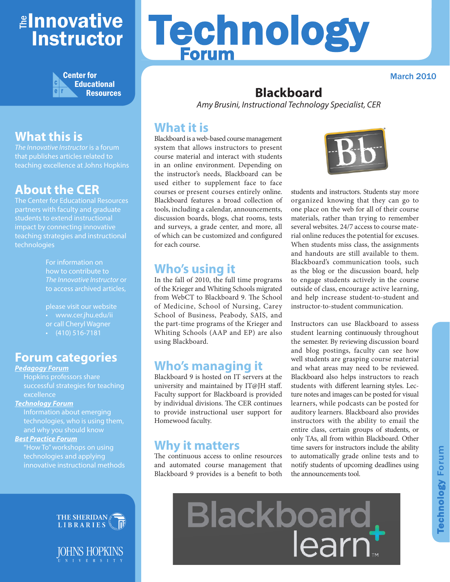## ≇l<mark>nnovative</mark> Instructor



## **What this is**

*The Innovative Instructor* is a forum that publishes articles related to teaching excellence at Johns Hopkins

#### **About the CER**

The Center for Educational Resources partners with faculty and graduate students to extend instructional impact by connecting innovative teaching strategies and instructional technologies

> For information on how to contribute to *The Innovative Instructor* or to access archived articles,

please visit our website • www.cer.jhu.edu/ii or call Cheryl Wagner  $\cdot$  (410) 516-7181

#### **Forum categories**

#### *Pedagogy Forum*

Hopkins professors share successful strategies for teaching excellence

#### *Technology Forum*

Information about emerging technologies, who is using them, and why you should know

#### *Best Practice Forum*

"How To" workshops on using technologies and applying innovative instructional methods



JOHNS HOPKINS

# Technology Forum

March 2010

## **Blackboard**

*Amy Brusini, Instructional Technology Specialist, CER*

#### **What it is**

Blackboard is a web-based course management system that allows instructors to present course material and interact with students in an online environment. Depending on the instructor's needs, Blackboard can be used either to supplement face to face courses or present courses entirely online. Blackboard features a broad collection of tools, including a calendar, announcements, discussion boards, blogs, chat rooms, tests and surveys, a grade center, and more, all of which can be customized and configured for each course.

#### **Who's using it**

In the fall of 2010, the full time programs of the Krieger and Whiting Schools migrated from WebCT to Blackboard 9. The School of Medicine, School of Nursing, Carey School of Business, Peabody, SAIS, and the part-time programs of the Krieger and Whiting Schools (AAP and EP) are also using Blackboard.

#### **Who's managing it**

Blackboard 9 is hosted on IT servers at the university and maintained by IT@JH staff. Faculty support for Blackboard is provided by individual divisions. The CER continues to provide instructional user support for Homewood faculty.

#### **Why it matters**

The continuous access to online resources and automated course management that Blackboard 9 provides is a benefit to both



students and instructors. Students stay more organized knowing that they can go to one place on the web for all of their course materials, rather than trying to remember several websites. 24/7 access to course material online reduces the potential for excuses. When students miss class, the assignments and handouts are still available to them. Blackboard's communication tools, such as the blog or the discussion board, help to engage students actively in the course outside of class, encourage active learning, and help increase student-to-student and instructor-to-student communication.

Instructors can use Blackboard to assess student learning continuously throughout the semester. By reviewing discussion board and blog postings, faculty can see how well students are grasping course material and what areas may need to be reviewed. Blackboard also helps instructors to reach students with different learning styles. Lecture notes and images can be posted for visual learners, while podcasts can be posted for auditory learners. Blackboard also provides instructors with the ability to email the entire class, certain groups of students, or only TAs, all from within Blackboard. Other time savers for instructors include the ability to automatically grade online tests and to notify students of upcoming deadlines using the announcements tool.

Blackboard<br>learn\*